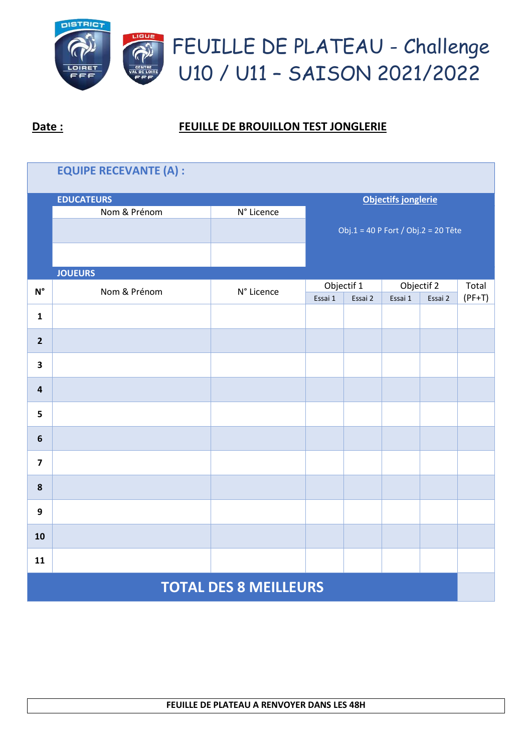

| <b>EQUIPE RECEVANTE (A) :</b> |                   |                            |                                     |  |                                             |  |                   |  |  |
|-------------------------------|-------------------|----------------------------|-------------------------------------|--|---------------------------------------------|--|-------------------|--|--|
|                               | <b>EDUCATEURS</b> | <b>Objectifs jonglerie</b> |                                     |  |                                             |  |                   |  |  |
|                               | Nom & Prénom      | N° Licence                 |                                     |  |                                             |  |                   |  |  |
|                               |                   |                            | Obj.1 = 40 P Fort / Obj.2 = 20 Tête |  |                                             |  |                   |  |  |
|                               |                   |                            |                                     |  |                                             |  |                   |  |  |
|                               | <b>JOUEURS</b>    |                            |                                     |  |                                             |  |                   |  |  |
| $\textsf{N}^\circ$            | Nom & Prénom      | N° Licence                 | Objectif 1<br>Essai 1<br>Essai 2    |  | Objectif <sub>2</sub><br>Essai 1<br>Essai 2 |  | Total<br>$(PF+T)$ |  |  |
|                               |                   |                            |                                     |  |                                             |  |                   |  |  |
| $\mathbf{1}$                  |                   |                            |                                     |  |                                             |  |                   |  |  |
| $\overline{2}$                |                   |                            |                                     |  |                                             |  |                   |  |  |
| $\overline{\mathbf{3}}$       |                   |                            |                                     |  |                                             |  |                   |  |  |
| $\overline{\mathbf{4}}$       |                   |                            |                                     |  |                                             |  |                   |  |  |
| 5                             |                   |                            |                                     |  |                                             |  |                   |  |  |
| $\boldsymbol{6}$              |                   |                            |                                     |  |                                             |  |                   |  |  |
| $\overline{\mathbf{z}}$       |                   |                            |                                     |  |                                             |  |                   |  |  |
| ${\bf 8}$                     |                   |                            |                                     |  |                                             |  |                   |  |  |
| 9                             |                   |                            |                                     |  |                                             |  |                   |  |  |
| 10                            |                   |                            |                                     |  |                                             |  |                   |  |  |
| 11                            |                   |                            |                                     |  |                                             |  |                   |  |  |
| <b>TOTAL DES 8 MEILLEURS</b>  |                   |                            |                                     |  |                                             |  |                   |  |  |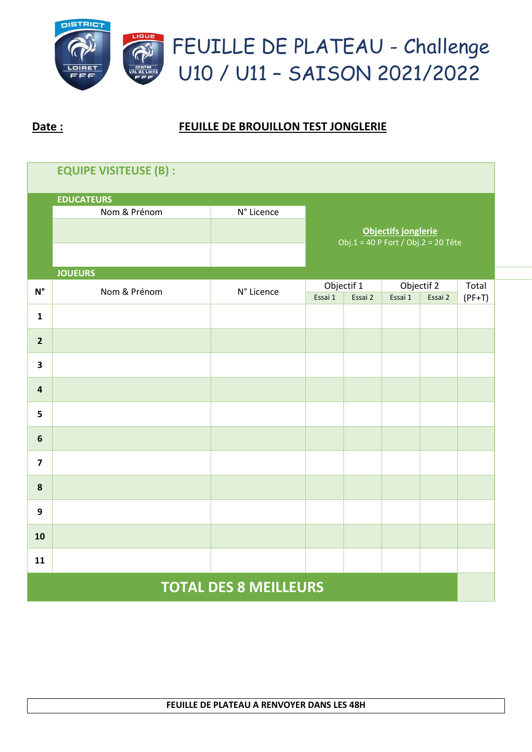

| <b>EQUIPE VISITEUSE (B):</b> |                   |            |                                                                   |         |            |         |          |  |  |
|------------------------------|-------------------|------------|-------------------------------------------------------------------|---------|------------|---------|----------|--|--|
|                              | <b>EDUCATEURS</b> |            |                                                                   |         |            |         |          |  |  |
|                              | Nom & Prénom      | N° Licence |                                                                   |         |            |         |          |  |  |
|                              |                   |            | <b>Objectifs jonglerie</b><br>Obj.1 = 40 P Fort / Obj.2 = 20 Tête |         |            |         |          |  |  |
|                              |                   |            |                                                                   |         |            |         |          |  |  |
|                              | <b>JOUEURS</b>    |            |                                                                   |         |            |         |          |  |  |
| $\textsf{N}^\circ$           | Nom & Prénom      | N° Licence | Objectif 1                                                        |         | Objectif 2 |         | Total    |  |  |
|                              |                   |            | Essai 1                                                           | Essai 2 | Essai 1    | Essai 2 | $(PF+T)$ |  |  |
| $\mathbf{1}$                 |                   |            |                                                                   |         |            |         |          |  |  |
| $\overline{2}$               |                   |            |                                                                   |         |            |         |          |  |  |
| 3                            |                   |            |                                                                   |         |            |         |          |  |  |
| $\overline{\mathbf{4}}$      |                   |            |                                                                   |         |            |         |          |  |  |
| 5                            |                   |            |                                                                   |         |            |         |          |  |  |
| $6\phantom{1}$               |                   |            |                                                                   |         |            |         |          |  |  |
| $\overline{\mathbf{z}}$      |                   |            |                                                                   |         |            |         |          |  |  |
| $\pmb{8}$                    |                   |            |                                                                   |         |            |         |          |  |  |
| 9                            |                   |            |                                                                   |         |            |         |          |  |  |
| 10                           |                   |            |                                                                   |         |            |         |          |  |  |
| 11                           |                   |            |                                                                   |         |            |         |          |  |  |
| <b>TOTAL DES 8 MEILLEURS</b> |                   |            |                                                                   |         |            |         |          |  |  |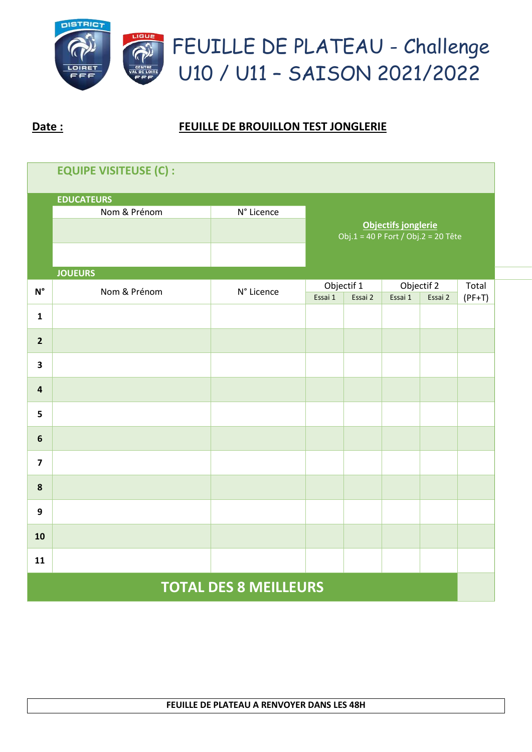

| <b>EQUIPE VISITEUSE (C):</b> |                   |            |                                                            |                       |         |                       |                   |  |  |
|------------------------------|-------------------|------------|------------------------------------------------------------|-----------------------|---------|-----------------------|-------------------|--|--|
|                              | <b>EDUCATEURS</b> |            |                                                            |                       |         |                       |                   |  |  |
|                              | Nom & Prénom      | N° Licence |                                                            |                       |         |                       |                   |  |  |
|                              |                   |            | Objectifs jonglerie<br>Obj.1 = 40 P Fort / Obj.2 = 20 Tête |                       |         |                       |                   |  |  |
|                              |                   |            |                                                            |                       |         |                       |                   |  |  |
|                              | <b>JOUEURS</b>    |            |                                                            |                       |         |                       |                   |  |  |
| $N^{\circ}$                  | Nom & Prénom      | N° Licence | Essai 1                                                    | Objectif 1<br>Essai 2 | Essai 1 | Objectif 2<br>Essai 2 | Total<br>$(PF+T)$ |  |  |
| $\mathbf{1}$                 |                   |            |                                                            |                       |         |                       |                   |  |  |
| $\overline{2}$               |                   |            |                                                            |                       |         |                       |                   |  |  |
| $\overline{\mathbf{3}}$      |                   |            |                                                            |                       |         |                       |                   |  |  |
| $\overline{\mathbf{a}}$      |                   |            |                                                            |                       |         |                       |                   |  |  |
| 5                            |                   |            |                                                            |                       |         |                       |                   |  |  |
| $\boldsymbol{6}$             |                   |            |                                                            |                       |         |                       |                   |  |  |
| $\overline{\mathbf{z}}$      |                   |            |                                                            |                       |         |                       |                   |  |  |
| 8                            |                   |            |                                                            |                       |         |                       |                   |  |  |
| $\boldsymbol{9}$             |                   |            |                                                            |                       |         |                       |                   |  |  |
| 10                           |                   |            |                                                            |                       |         |                       |                   |  |  |
| 11                           |                   |            |                                                            |                       |         |                       |                   |  |  |
| <b>TOTAL DES 8 MEILLEURS</b> |                   |            |                                                            |                       |         |                       |                   |  |  |